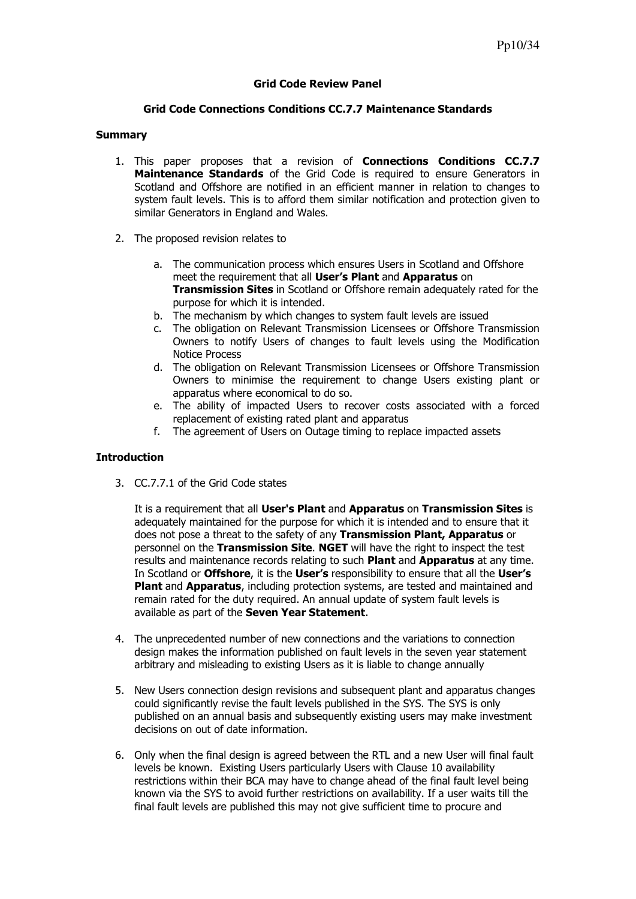# Grid Code Review Panel

# Grid Code Connections Conditions CC.7.7 Maintenance Standards

## Summary

- 1. This paper proposes that a revision of **Connections Conditions CC.7.7** Maintenance Standards of the Grid Code is required to ensure Generators in Scotland and Offshore are notified in an efficient manner in relation to changes to system fault levels. This is to afford them similar notification and protection given to similar Generators in England and Wales.
- 2. The proposed revision relates to
	- a. The communication process which ensures Users in Scotland and Offshore meet the requirement that all User's Plant and Apparatus on **Transmission Sites** in Scotland or Offshore remain adequately rated for the purpose for which it is intended.
	- b. The mechanism by which changes to system fault levels are issued
	- c. The obligation on Relevant Transmission Licensees or Offshore Transmission Owners to notify Users of changes to fault levels using the Modification Notice Process
	- d. The obligation on Relevant Transmission Licensees or Offshore Transmission Owners to minimise the requirement to change Users existing plant or apparatus where economical to do so.
	- e. The ability of impacted Users to recover costs associated with a forced replacement of existing rated plant and apparatus
	- f. The agreement of Users on Outage timing to replace impacted assets

# Introduction

3. CC.7.7.1 of the Grid Code states

It is a requirement that all User's Plant and Apparatus on Transmission Sites is adequately maintained for the purpose for which it is intended and to ensure that it does not pose a threat to the safety of any Transmission Plant, Apparatus or personnel on the Transmission Site. NGET will have the right to inspect the test results and maintenance records relating to such **Plant** and **Apparatus** at any time. In Scotland or Offshore, it is the User's responsibility to ensure that all the User's Plant and Apparatus, including protection systems, are tested and maintained and remain rated for the duty required. An annual update of system fault levels is available as part of the Seven Year Statement.

- 4. The unprecedented number of new connections and the variations to connection design makes the information published on fault levels in the seven year statement arbitrary and misleading to existing Users as it is liable to change annually
- 5. New Users connection design revisions and subsequent plant and apparatus changes could significantly revise the fault levels published in the SYS. The SYS is only published on an annual basis and subsequently existing users may make investment decisions on out of date information.
- 6. Only when the final design is agreed between the RTL and a new User will final fault levels be known. Existing Users particularly Users with Clause 10 availability restrictions within their BCA may have to change ahead of the final fault level being known via the SYS to avoid further restrictions on availability. If a user waits till the final fault levels are published this may not give sufficient time to procure and